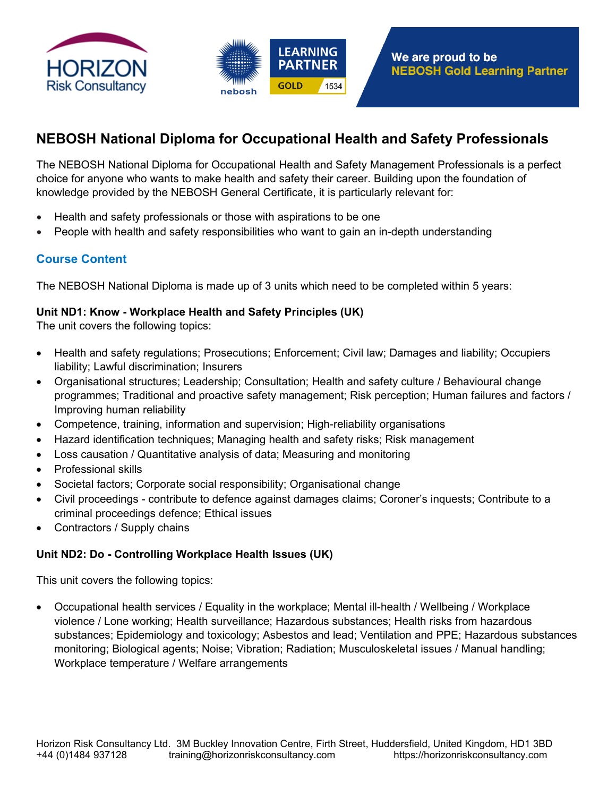



# **NEBOSH National Diploma for Occupational Health and Safety Professionals**

The NEBOSH National Diploma for Occupational Health and Safety Management Professionals is a perfect choice for anyone who wants to make health and safety their career. Building upon the foundation of knowledge provided by the NEBOSH General Certificate, it is particularly relevant for:

- Health and safety professionals or those with aspirations to be one
- People with health and safety responsibilities who want to gain an in-depth understanding

# **Course Content**

The NEBOSH National Diploma is made up of 3 units which need to be completed within 5 years:

#### **Unit ND1: Know - Workplace Health and Safety Principles (UK)**

The unit covers the following topics:

- Health and safety regulations; Prosecutions; Enforcement; Civil law; Damages and liability; Occupiers liability; Lawful discrimination; Insurers
- Organisational structures; Leadership; Consultation; Health and safety culture / Behavioural change programmes; Traditional and proactive safety management; Risk perception; Human failures and factors / Improving human reliability
- Competence, training, information and supervision; High-reliability organisations
- Hazard identification techniques; Managing health and safety risks; Risk management
- Loss causation / Quantitative analysis of data; Measuring and monitoring
- Professional skills
- Societal factors; Corporate social responsibility; Organisational change
- Civil proceedings contribute to defence against damages claims; Coroner's inquests; Contribute to a criminal proceedings defence; Ethical issues
- Contractors / Supply chains

#### **Unit ND2: Do - Controlling Workplace Health Issues (UK)**

This unit covers the following topics:

 Occupational health services / Equality in the workplace; Mental ill-health / Wellbeing / Workplace violence / Lone working; Health surveillance; Hazardous substances; Health risks from hazardous substances; Epidemiology and toxicology; Asbestos and lead; Ventilation and PPE; Hazardous substances monitoring; Biological agents; Noise; Vibration; Radiation; Musculoskeletal issues / Manual handling; Workplace temperature / Welfare arrangements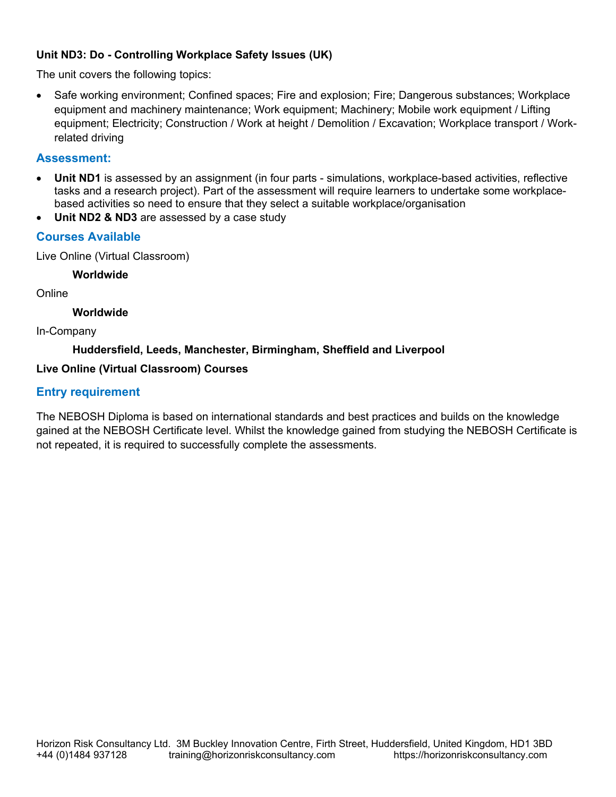## **Unit ND3: Do - Controlling Workplace Safety Issues (UK)**

The unit covers the following topics:

• Safe working environment; Confined spaces; Fire and explosion; Fire; Dangerous substances; Workplace equipment and machinery maintenance; Work equipment; Machinery; Mobile work equipment / Lifting equipment; Electricity; Construction / Work at height / Demolition / Excavation; Workplace transport / Workrelated driving

## **Assessment:**

- **Unit ND1** is assessed by an assignment (in four parts simulations, workplace-based activities, reflective tasks and a research project). Part of the assessment will require learners to undertake some workplacebased activities so need to ensure that they select a suitable workplace/organisation
- **Unit ND2 & ND3** are assessed by a case study

## **Courses Available**

Live Online (Virtual Classroom)

#### **Worldwide**

Online

#### **Worldwide**

In-Company

#### **Huddersfield, Leeds, Manchester, Birmingham, Sheffield and Liverpool**

#### **Live Online (Virtual Classroom) Courses**

## **Entry requirement**

The NEBOSH Diploma is based on international standards and best practices and builds on the knowledge gained at the NEBOSH Certificate level. Whilst the knowledge gained from studying the NEBOSH Certificate is not repeated, it is required to successfully complete the assessments.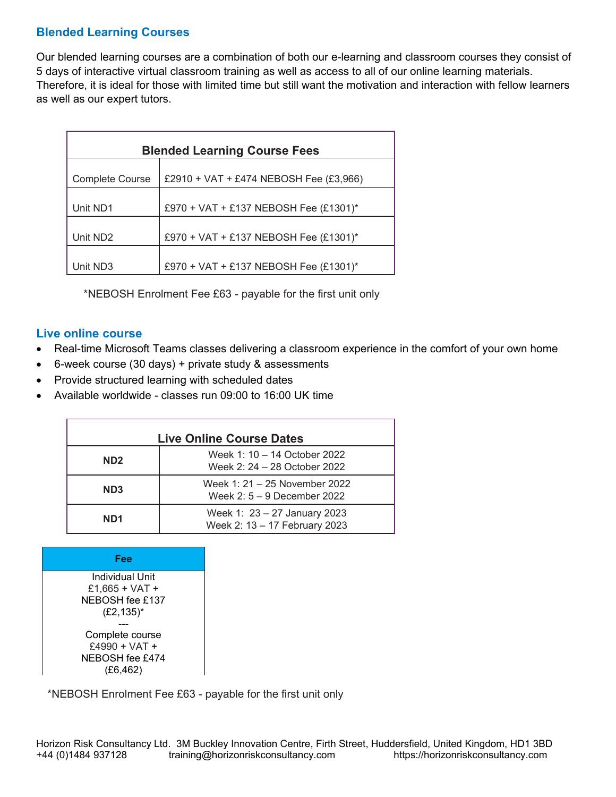# **Blended Learning Courses**

Our blended learning courses are a combination of both our e-learning and classroom courses they consist of 5 days of interactive virtual classroom training as well as access to all of our online learning materials. Therefore, it is ideal for those with limited time but still want the motivation and interaction with fellow learners as well as our expert tutors.

| <b>Blended Learning Course Fees</b> |                                          |  |
|-------------------------------------|------------------------------------------|--|
| <b>Complete Course</b>              | £2910 + VAT + £474 NEBOSH Fee $(E3,966)$ |  |
| Unit ND1                            | £970 + VAT + £137 NEBOSH Fee (£1301)*    |  |
| Unit ND2                            | £970 + VAT + £137 NEBOSH Fee (£1301)*    |  |
| Unit ND3                            | £970 + VAT + £137 NEBOSH Fee (£1301)*    |  |

\*NEBOSH Enrolment Fee £63 - payable for the first unit only

#### **Live online course**

- Real-time Microsoft Teams classes delivering a classroom experience in the comfort of your own home
- 6-week course (30 days) + private study & assessments
- Provide structured learning with scheduled dates
- Available worldwide classes run 09:00 to 16:00 UK time

| <b>Live Online Course Dates</b> |                                                               |  |
|---------------------------------|---------------------------------------------------------------|--|
| ND <sub>2</sub>                 | Week 1: 10 - 14 October 2022<br>Week 2: 24 - 28 October 2022  |  |
| ND <sub>3</sub>                 | Week 1: 21 – 25 November 2022<br>Week $2:5-9$ December 2022   |  |
| ND <sub>1</sub>                 | Week 1: 23 - 27 January 2023<br>Week 2: 13 - 17 February 2023 |  |

| Fee                                                                   |  |
|-----------------------------------------------------------------------|--|
| Individual Unit<br>£1.665 + VAT +<br>NEBOSH fee £137<br>$(E2, 135)^*$ |  |
| Complete course<br>$f4990 + VAT +$<br>NEBOSH fee £474<br>(E6, 462)    |  |

\*NEBOSH Enrolment Fee £63 - payable for the first unit only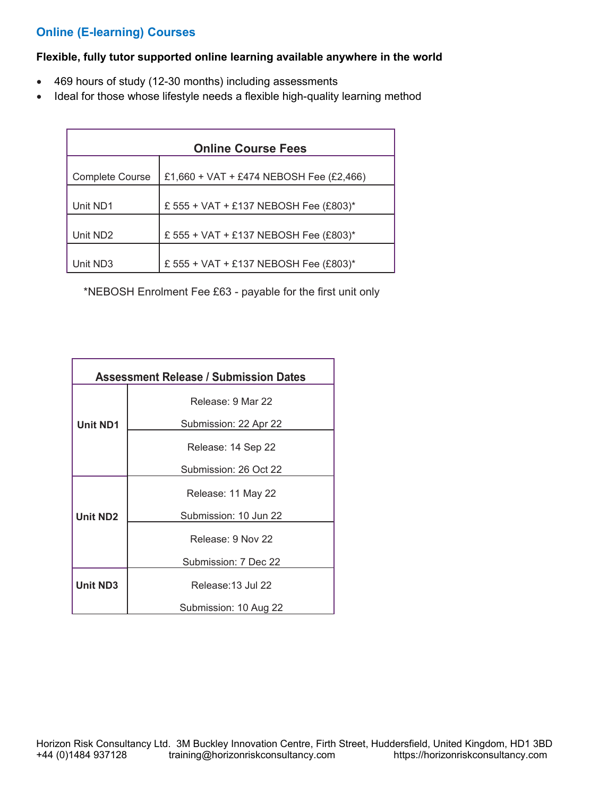# **Online (E-learning) Courses**

#### **Flexible, fully tutor supported online learning available anywhere in the world**

- 469 hours of study (12-30 months) including assessments
- Ideal for those whose lifestyle needs a flexible high-quality learning method

| <b>Online Course Fees</b> |                                         |  |
|---------------------------|-----------------------------------------|--|
| <b>Complete Course</b>    | £1,660 + VAT + £474 NEBOSH Fee (£2,466) |  |
| Unit ND1                  | £ 555 + VAT + £137 NEBOSH Fee (£803)*   |  |
| Unit ND <sub>2</sub>      | £ 555 + VAT + £137 NEBOSH Fee (£803)*   |  |
| Unit ND3                  | £ 555 + VAT + £137 NEBOSH Fee (£803)*   |  |

\*NEBOSH Enrolment Fee £63 - payable for the first unit only